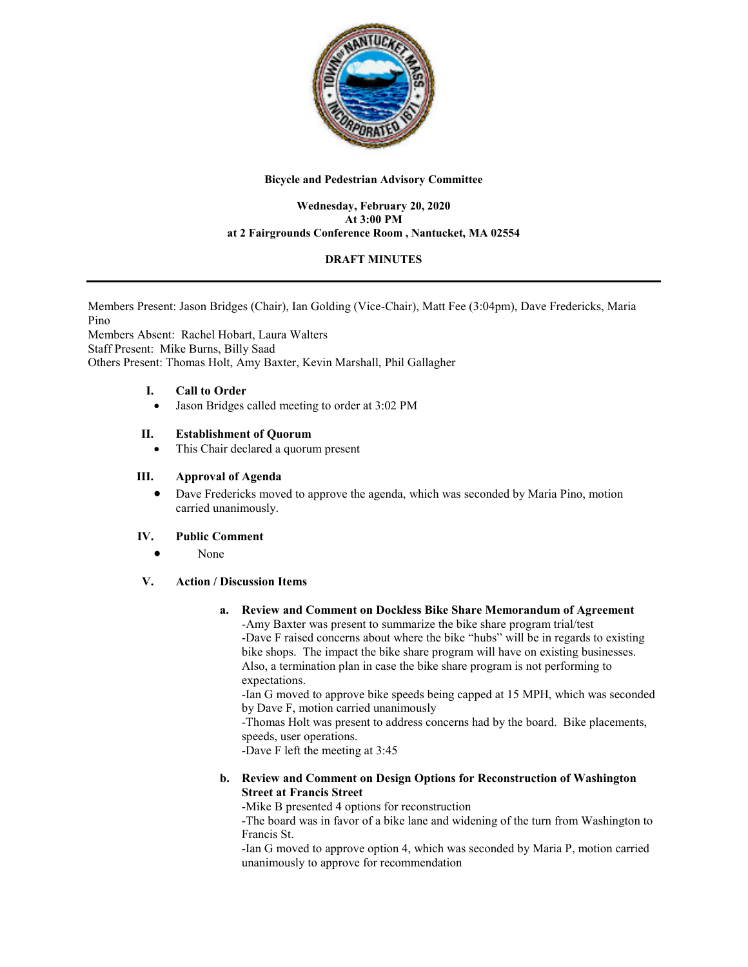

### **Bicycle and Pedestrian Advisory Committee**

#### **Wednesday, February 20, 2020 At 3:00 PM at 2 Fairgrounds Conference Room , Nantucket, MA 02554**

# **DRAFT MINUTES**

Members Present: Jason Bridges (Chair), Ian Golding (Vice-Chair), Matt Fee (3:04pm), Dave Fredericks, Maria Pino Members Absent: Rachel Hobart, Laura Walters

Staff Present: Mike Burns, Billy Saad Others Present: Thomas Holt, Amy Baxter, Kevin Marshall, Phil Gallagher

## **I. Call to Order**

• Jason Bridges called meeting to order at 3:02 PM

## **II. Establishment of Quorum**

• This Chair declared a quorum present

## **III. Approval of Agenda**

• Dave Fredericks moved to approve the agenda, which was seconded by Maria Pino, motion carried unanimously.

### **IV. Public Comment**

• None

### **V. Action / Discussion Items**

### **a. Review and Comment on Dockless Bike Share Memorandum of Agreement**

-Amy Baxter was present to summarize the bike share program trial/test -Dave F raised concerns about where the bike "hubs" will be in regards to existing bike shops. The impact the bike share program will have on existing businesses. Also, a termination plan in case the bike share program is not performing to expectations.

-Ian G moved to approve bike speeds being capped at 15 MPH, which was seconded by Dave F, motion carried unanimously

-Thomas Holt was present to address concerns had by the board. Bike placements, speeds, user operations.

-Dave F left the meeting at 3:45

## **b. Review and Comment on Design Options for Reconstruction of Washington Street at Francis Street**

-Mike B presented 4 options for reconstruction

-The board was in favor of a bike lane and widening of the turn from Washington to Francis St.

-Ian G moved to approve option 4, which was seconded by Maria P, motion carried unanimously to approve for recommendation